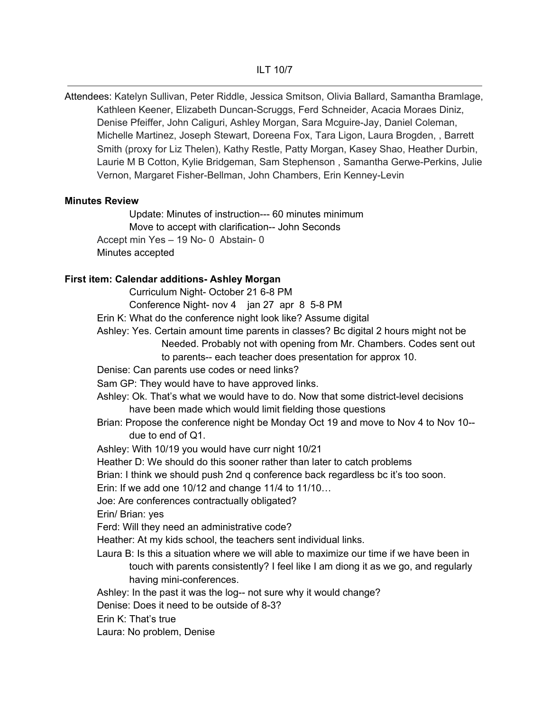Attendees: Katelyn Sullivan, Peter Riddle, Jessica Smitson, Olivia Ballard, Samantha Bramlage, Kathleen Keener, Elizabeth Duncan-Scruggs, Ferd Schneider, Acacia Moraes Diniz, Denise Pfeiffer, John Caliguri, Ashley Morgan, Sara Mcguire-Jay, Daniel Coleman, Michelle Martinez, Joseph Stewart, Doreena Fox, Tara Ligon, Laura Brogden, , Barrett Smith (proxy for Liz Thelen), Kathy Restle, Patty Morgan, Kasey Shao, Heather Durbin, Laurie M B Cotton, Kylie Bridgeman, Sam Stephenson , Samantha Gerwe-Perkins, Julie Vernon, Margaret Fisher-Bellman, John Chambers, Erin Kenney-Levin

#### **Minutes Review**

Update: Minutes of instruction--- 60 minutes minimum Move to accept with clarification-- John Seconds Accept min Yes – 19 No- 0 Abstain- 0 Minutes accepted

### **First item: Calendar additions- Ashley Morgan**

Curriculum Night- October 21 6-8 PM

Conference Night- nov 4 jan 27 apr 8 5-8 PM

Erin K: What do the conference night look like? Assume digital

Ashley: Yes. Certain amount time parents in classes? Bc digital 2 hours might not be Needed. Probably not with opening from Mr. Chambers. Codes sent out

to parents-- each teacher does presentation for approx 10.

Denise: Can parents use codes or need links?

Sam GP: They would have to have approved links.

Ashley: Ok. That's what we would have to do. Now that some district-level decisions have been made which would limit fielding those questions

Brian: Propose the conference night be Monday Oct 19 and move to Nov 4 to Nov 10- due to end of Q1.

Ashley: With 10/19 you would have curr night 10/21

Heather D: We should do this sooner rather than later to catch problems

Brian: I think we should push 2nd q conference back regardless bc it's too soon.

Erin: If we add one 10/12 and change 11/4 to 11/10…

Joe: Are conferences contractually obligated?

Erin/ Brian: yes

Ferd: Will they need an administrative code?

Heather: At my kids school, the teachers sent individual links.

Laura B: Is this a situation where we will able to maximize our time if we have been in touch with parents consistently? I feel like I am diong it as we go, and regularly having mini-conferences.

Ashley: In the past it was the log-- not sure why it would change?

Denise: Does it need to be outside of 8-3?

Erin K: That's true

Laura: No problem, Denise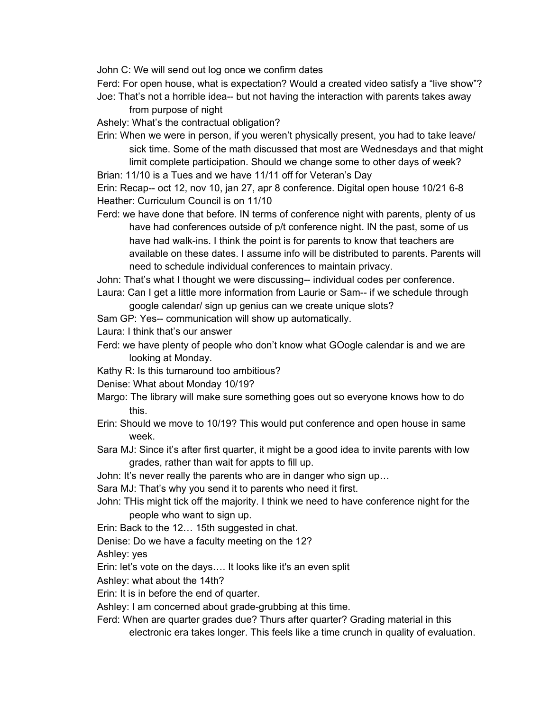John C: We will send out log once we confirm dates

Ferd: For open house, what is expectation? Would a created video satisfy a "live show"?

Joe: That's not a horrible idea-- but not having the interaction with parents takes away from purpose of night

Ashely: What's the contractual obligation?

Erin: When we were in person, if you weren't physically present, you had to take leave/ sick time. Some of the math discussed that most are Wednesdays and that might limit complete participation. Should we change some to other days of week?

Brian: 11/10 is a Tues and we have 11/11 off for Veteran's Day

Erin: Recap-- oct 12, nov 10, jan 27, apr 8 conference. Digital open house 10/21 6-8 Heather: Curriculum Council is on 11/10

Ferd: we have done that before. IN terms of conference night with parents, plenty of us have had conferences outside of p/t conference night. IN the past, some of us have had walk-ins. I think the point is for parents to know that teachers are available on these dates. I assume info will be distributed to parents. Parents will need to schedule individual conferences to maintain privacy.

John: That's what I thought we were discussing-- individual codes per conference. Laura: Can I get a little more information from Laurie or Sam-- if we schedule through

google calendar/ sign up genius can we create unique slots?

Sam GP: Yes-- communication will show up automatically.

Laura: I think that's our answer

- Ferd: we have plenty of people who don't know what GOogle calendar is and we are looking at Monday.
- Kathy R: Is this turnaround too ambitious?

Denise: What about Monday 10/19?

- Margo: The library will make sure something goes out so everyone knows how to do this.
- Erin: Should we move to 10/19? This would put conference and open house in same week.
- Sara MJ: Since it's after first quarter, it might be a good idea to invite parents with low grades, rather than wait for appts to fill up.

John: It's never really the parents who are in danger who sign up…

Sara MJ: That's why you send it to parents who need it first.

John: THis might tick off the majority. I think we need to have conference night for the people who want to sign up.

Erin: Back to the 12… 15th suggested in chat.

Denise: Do we have a faculty meeting on the 12?

Ashley: yes

Erin: let's vote on the days…. It looks like it's an even split

Ashley: what about the 14th?

Erin: It is in before the end of quarter.

Ashley: I am concerned about grade-grubbing at this time.

Ferd: When are quarter grades due? Thurs after quarter? Grading material in this

electronic era takes longer. This feels like a time crunch in quality of evaluation.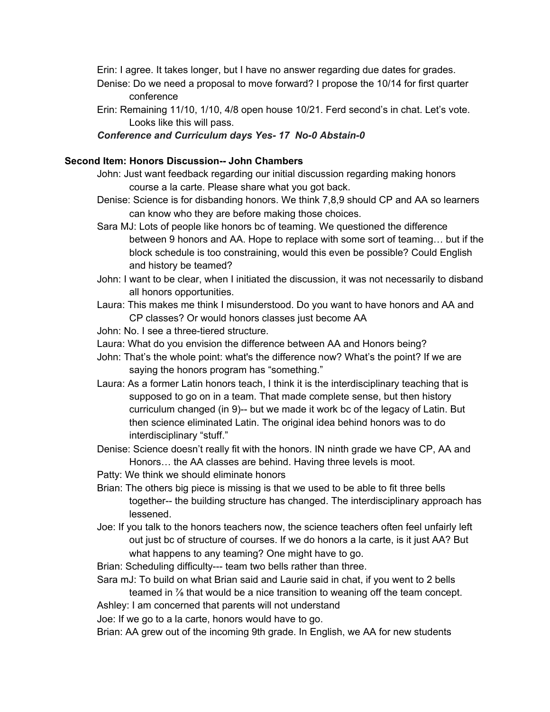Erin: I agree. It takes longer, but I have no answer regarding due dates for grades.

- Denise: Do we need a proposal to move forward? I propose the 10/14 for first quarter conference
- Erin: Remaining 11/10, 1/10, 4/8 open house 10/21. Ferd second's in chat. Let's vote. Looks like this will pass.

## *Conference and Curriculum days Yes- 17 No-0 Abstain-0*

# **Second Item: Honors Discussion-- John Chambers**

- John: Just want feedback regarding our initial discussion regarding making honors course a la carte. Please share what you got back.
- Denise: Science is for disbanding honors. We think 7,8,9 should CP and AA so learners can know who they are before making those choices.
- Sara MJ: Lots of people like honors bc of teaming. We questioned the difference between 9 honors and AA. Hope to replace with some sort of teaming… but if the block schedule is too constraining, would this even be possible? Could English and history be teamed?
- John: I want to be clear, when I initiated the discussion, it was not necessarily to disband all honors opportunities.
- Laura: This makes me think I misunderstood. Do you want to have honors and AA and CP classes? Or would honors classes just become AA
- John: No. I see a three-tiered structure.
- Laura: What do you envision the difference between AA and Honors being?
- John: That's the whole point: what's the difference now? What's the point? If we are saying the honors program has "something."
- Laura: As a former Latin honors teach, I think it is the interdisciplinary teaching that is supposed to go on in a team. That made complete sense, but then history curriculum changed (in 9)-- but we made it work bc of the legacy of Latin. But then science eliminated Latin. The original idea behind honors was to do interdisciplinary "stuff."
- Denise: Science doesn't really fit with the honors. IN ninth grade we have CP, AA and Honors… the AA classes are behind. Having three levels is moot.
- Patty: We think we should eliminate honors
- Brian: The others big piece is missing is that we used to be able to fit three bells together-- the building structure has changed. The interdisciplinary approach has lessened.
- Joe: If you talk to the honors teachers now, the science teachers often feel unfairly left out just bc of structure of courses. If we do honors a la carte, is it just AA? But what happens to any teaming? One might have to go.
- Brian: Scheduling difficulty--- team two bells rather than three.
- Sara mJ: To build on what Brian said and Laurie said in chat, if you went to 2 bells teamed in ⅞ that would be a nice transition to weaning off the team concept.

Ashley: I am concerned that parents will not understand

Joe: If we go to a la carte, honors would have to go.

Brian: AA grew out of the incoming 9th grade. In English, we AA for new students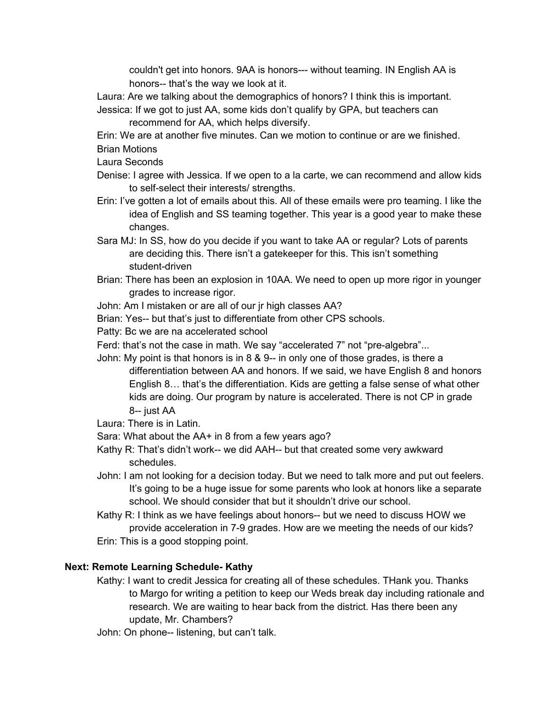couldn't get into honors. 9AA is honors--- without teaming. IN English AA is honors-- that's the way we look at it.

Laura: Are we talking about the demographics of honors? I think this is important. Jessica: If we got to just AA, some kids don't qualify by GPA, but teachers can

recommend for AA, which helps diversify.

Erin: We are at another five minutes. Can we motion to continue or are we finished.

- Brian Motions
- Laura Seconds
- Denise: I agree with Jessica. If we open to a la carte, we can recommend and allow kids to self-select their interests/ strengths.
- Erin: I've gotten a lot of emails about this. All of these emails were pro teaming. I like the idea of English and SS teaming together. This year is a good year to make these changes.
- Sara MJ: In SS, how do you decide if you want to take AA or regular? Lots of parents are deciding this. There isn't a gatekeeper for this. This isn't something student-driven
- Brian: There has been an explosion in 10AA. We need to open up more rigor in younger grades to increase rigor.
- John: Am I mistaken or are all of our jr high classes AA?
- Brian: Yes-- but that's just to differentiate from other CPS schools.
- Patty: Bc we are na accelerated school
- Ferd: that's not the case in math. We say "accelerated 7" not "pre-algebra"...
- John: My point is that honors is in 8 & 9-- in only one of those grades, is there a differentiation between AA and honors. If we said, we have English 8 and honors English 8… that's the differentiation. Kids are getting a false sense of what other kids are doing. Our program by nature is accelerated. There is not CP in grade 8-- just AA
- Laura: There is in Latin.
- Sara: What about the AA+ in 8 from a few years ago?
- Kathy R: That's didn't work-- we did AAH-- but that created some very awkward schedules.
- John: I am not looking for a decision today. But we need to talk more and put out feelers. It's going to be a huge issue for some parents who look at honors like a separate school. We should consider that but it shouldn't drive our school.
- Kathy R: I think as we have feelings about honors-- but we need to discuss HOW we provide acceleration in 7-9 grades. How are we meeting the needs of our kids? Erin: This is a good stopping point.

## **Next: Remote Learning Schedule- Kathy**

- Kathy: I want to credit Jessica for creating all of these schedules. THank you. Thanks to Margo for writing a petition to keep our Weds break day including rationale and research. We are waiting to hear back from the district. Has there been any update, Mr. Chambers?
- John: On phone-- listening, but can't talk.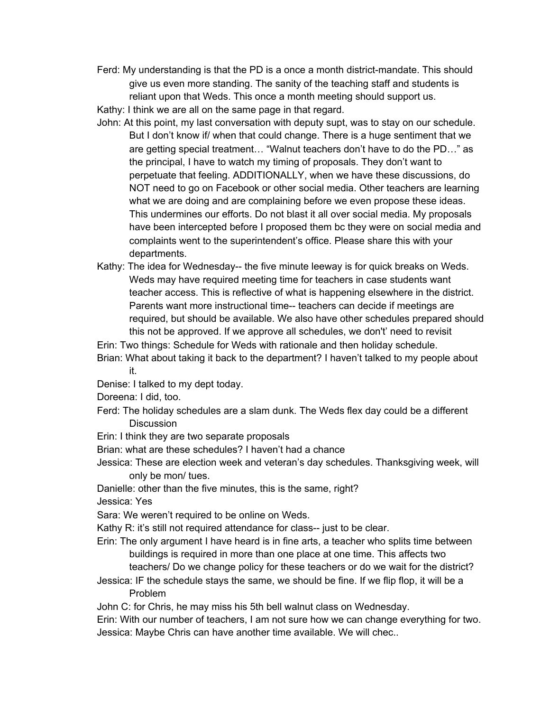Ferd: My understanding is that the PD is a once a month district-mandate. This should give us even more standing. The sanity of the teaching staff and students is reliant upon that Weds. This once a month meeting should support us.

Kathy: I think we are all on the same page in that regard.

- John: At this point, my last conversation with deputy supt, was to stay on our schedule. But I don't know if/ when that could change. There is a huge sentiment that we are getting special treatment… "Walnut teachers don't have to do the PD…" as the principal, I have to watch my timing of proposals. They don't want to perpetuate that feeling. ADDITIONALLY, when we have these discussions, do NOT need to go on Facebook or other social media. Other teachers are learning what we are doing and are complaining before we even propose these ideas. This undermines our efforts. Do not blast it all over social media. My proposals have been intercepted before I proposed them bc they were on social media and complaints went to the superintendent's office. Please share this with your departments.
- Kathy: The idea for Wednesday-- the five minute leeway is for quick breaks on Weds. Weds may have required meeting time for teachers in case students want teacher access. This is reflective of what is happening elsewhere in the district. Parents want more instructional time-- teachers can decide if meetings are required, but should be available. We also have other schedules prepared should this not be approved. If we approve all schedules, we don't' need to revisit

Erin: Two things: Schedule for Weds with rationale and then holiday schedule.

- Brian: What about taking it back to the department? I haven't talked to my people about it.
- Denise: I talked to my dept today.

Doreena: I did, too.

- Ferd: The holiday schedules are a slam dunk. The Weds flex day could be a different **Discussion**
- Erin: I think they are two separate proposals

Brian: what are these schedules? I haven't had a chance

Jessica: These are election week and veteran's day schedules. Thanksgiving week, will only be mon/ tues.

Danielle: other than the five minutes, this is the same, right?

Jessica: Yes

Sara: We weren't required to be online on Weds.

Kathy R: it's still not required attendance for class-- just to be clear.

- Erin: The only argument I have heard is in fine arts, a teacher who splits time between buildings is required in more than one place at one time. This affects two teachers/ Do we change policy for these teachers or do we wait for the district?
- Jessica: IF the schedule stays the same, we should be fine. If we flip flop, it will be a Problem

John C: for Chris, he may miss his 5th bell walnut class on Wednesday.

Erin: With our number of teachers, I am not sure how we can change everything for two. Jessica: Maybe Chris can have another time available. We will chec..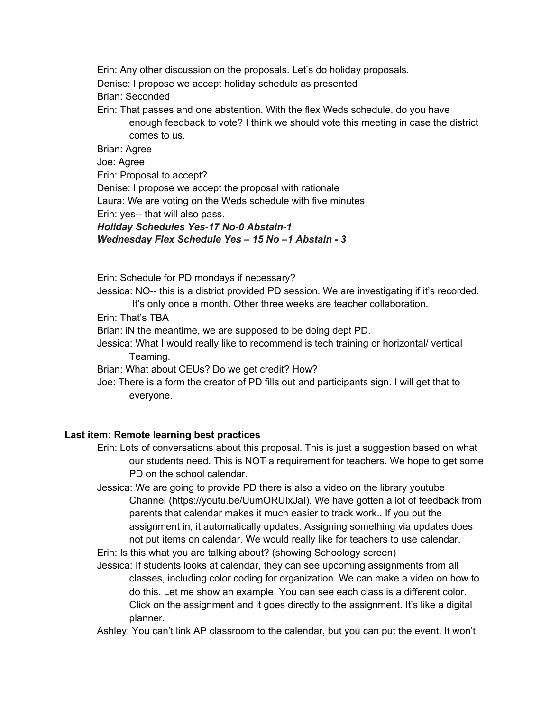Erin: Any other discussion on the proposals. Let's do holiday proposals. Denise: I propose we accept holiday schedule as presented Brian: Seconded Erin: That passes and one abstention. With the flex Weds schedule, do you have enough feedback to vote? I think we should vote this meeting in case the district comes to us. Brian: Agree

Joe: Agree

Erin: Proposal to accept?

Denise: I propose we accept the proposal with rationale

Laura: We are voting on the Weds schedule with five minutes

Erin: yes-- that will also pass.

*Holiday Schedules Yes-17 No-0 Abstain-1 Wednesday Flex Schedule Yes – 15 No –1 Abstain - 3*

Erin: Schedule for PD mondays if necessary?

Jessica: NO-- this is a district provided PD session. We are investigating if it's recorded.

It's only once a month. Other three weeks are teacher collaboration.

Erin: That's TBA

Brian: iN the meantime, we are supposed to be doing dept PD.

Jessica: What I would really like to recommend is tech training or horizontal/ vertical Teaming.

Brian: What about CEUs? Do we get credit? How?

Joe: There is a form the creator of PD fills out and participants sign. I will get that to everyone.

## **Last item: Remote learning best practices**

Erin: Lots of conversations about this proposal. This is just a suggestion based on what our students need. This is NOT a requirement for teachers. We hope to get some PD on the school calendar.

Jessica: We are going to provide PD there is also a video on the library youtube Channel (https://youtu.be/UumORUIxJaI). We have gotten a lot of feedback from parents that calendar makes it much easier to track work.. If you put the assignment in, it automatically updates. Assigning something via updates does not put items on calendar. We would really like for teachers to use calendar.

Erin: Is this what you are talking about? (showing Schoology screen)

Jessica: If students looks at calendar, they can see upcoming assignments from all classes, including color coding for organization. We can make a video on how to do this. Let me show an example. You can see each class is a different color. Click on the assignment and it goes directly to the assignment. It's like a digital planner.

Ashley: You can't link AP classroom to the calendar, but you can put the event. It won't